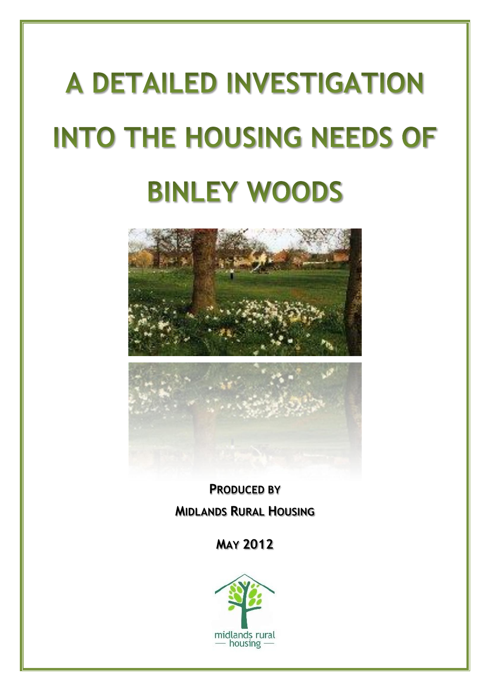# **A DETAILED INVESTIGATION INTO THE HOUSING NEEDS OF BINLEY WOODS**





**PRODUCED BY MIDLANDS RURAL HOUSING**

# **MAY 2012**

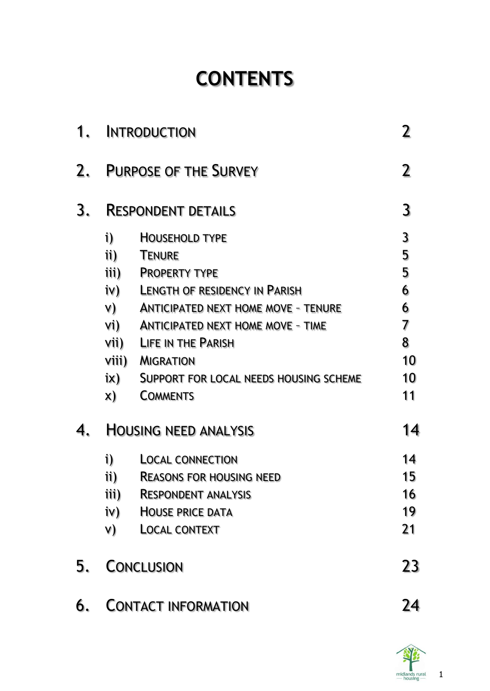# **CONTENTS**

| 1. | <b>INTRODUCTION</b>                                                            |                                                                                                                                                                                                                                                                                                                |                                                   |
|----|--------------------------------------------------------------------------------|----------------------------------------------------------------------------------------------------------------------------------------------------------------------------------------------------------------------------------------------------------------------------------------------------------------|---------------------------------------------------|
| 2. | <b>PURPOSE OF THE SURVEY</b>                                                   |                                                                                                                                                                                                                                                                                                                |                                                   |
| 3. |                                                                                | <b>RESPONDENT DETAILS</b>                                                                                                                                                                                                                                                                                      | 3                                                 |
|    | i)<br>ii)<br>iii)<br>i∨)<br>V)<br>Vi)<br>Vii)<br>Viii)<br>$i\mathsf{x})$<br>X) | <b>HOUSEHOLD TYPE</b><br><b>TENURE</b><br><b>PROPERTY TYPE</b><br><b>LENGTH OF RESIDENCY IN PARISH</b><br><b>ANTICIPATED NEXT HOME MOVE - TENURE</b><br><b>ANTICIPATED NEXT HOME MOVE - TIME</b><br><b>LIFE IN THE PARISH</b><br><b>MIGRATION</b><br>SUPPORT FOR LOCAL NEEDS HOUSING SCHEME<br><b>COMMENTS</b> | 3<br>5<br>5<br>6<br>6<br>7<br>8<br>10<br>10<br>11 |
| 4. |                                                                                | <b>HOUSING NEED ANALYSIS</b>                                                                                                                                                                                                                                                                                   | 14                                                |
|    | i)<br>ii)<br>iii)<br>iv)<br>V)                                                 | <b>LOCAL CONNECTION</b><br><b>REASONS FOR HOUSING NEED</b><br><b>RESPONDENT ANALYSIS</b><br><b>HOUSE PRICE DATA</b><br><b>LOCAL CONTEXT</b>                                                                                                                                                                    | 14<br>15.<br>16<br>19<br>21                       |
| 5. |                                                                                | <b>CONCLUSION</b>                                                                                                                                                                                                                                                                                              | 23                                                |
| 6. |                                                                                | <b>CONTACT INFORMATION</b>                                                                                                                                                                                                                                                                                     | 24                                                |



1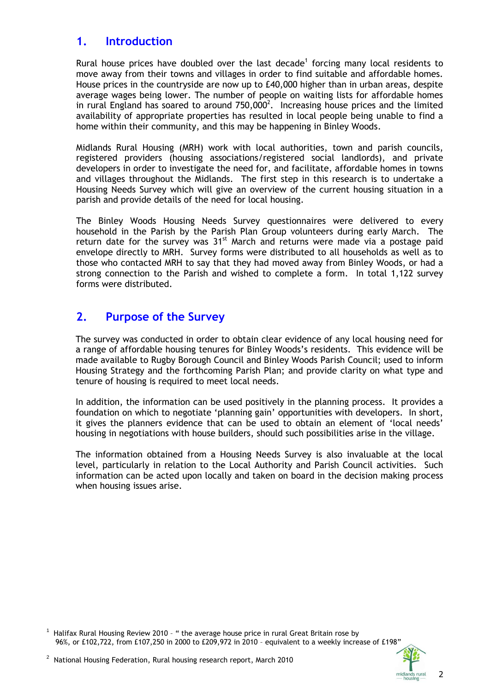### **1. Introduction**

Rural house prices have doubled over the last decade<sup>1</sup> forcing many local residents to move away from their towns and villages in order to find suitable and affordable homes. House prices in the countryside are now up to £40,000 higher than in urban areas, despite average wages being lower. The number of people on waiting lists for affordable homes in rural England has soared to around  $750,000^2$ . Increasing house prices and the limited availability of appropriate properties has resulted in local people being unable to find a home within their community, and this may be happening in Binley Woods.

Midlands Rural Housing (MRH) work with local authorities, town and parish councils, registered providers (housing associations/registered social landlords), and private developers in order to investigate the need for, and facilitate, affordable homes in towns and villages throughout the Midlands. The first step in this research is to undertake a Housing Needs Survey which will give an overview of the current housing situation in a parish and provide details of the need for local housing.

The Binley Woods Housing Needs Survey questionnaires were delivered to every household in the Parish by the Parish Plan Group volunteers during early March. The return date for the survey was  $31<sup>st</sup>$  March and returns were made via a postage paid envelope directly to MRH. Survey forms were distributed to all households as well as to those who contacted MRH to say that they had moved away from Binley Woods, or had a strong connection to the Parish and wished to complete a form. In total 1,122 survey forms were distributed.

# **2. Purpose of the Survey**

The survey was conducted in order to obtain clear evidence of any local housing need for a range of affordable housing tenures for Binley Woods's residents. This evidence will be made available to Rugby Borough Council and Binley Woods Parish Council; used to inform Housing Strategy and the forthcoming Parish Plan; and provide clarity on what type and tenure of housing is required to meet local needs.

In addition, the information can be used positively in the planning process. It provides a foundation on which to negotiate 'planning gain' opportunities with developers. In short, it gives the planners evidence that can be used to obtain an element of 'local needs' housing in negotiations with house builders, should such possibilities arise in the village.

The information obtained from a Housing Needs Survey is also invaluable at the local level, particularly in relation to the Local Authority and Parish Council activities. Such information can be acted upon locally and taken on board in the decision making process when housing issues arise.

 $^{\rm 1}$  Halifax Rural Housing Review 2010 - " the average house price in rural Great Britain rose by 96%, or £102,722, from £107,250 in 2000 to £209,972 in 2010 – equivalent to a weekly increase of £198"



2

 $^{\rm 2}$  National Housing Federation, Rural housing research report, March 2010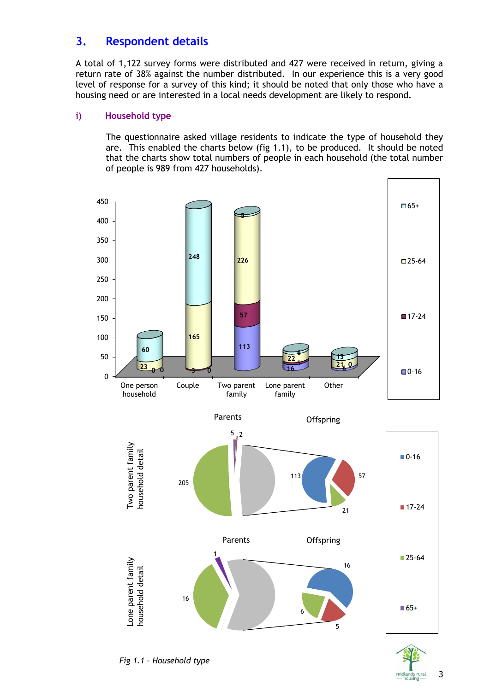# **3. Respondent details**

A total of 1,122 survey forms were distributed and 427 were received in return, giving a return rate of 38% against the number distributed. In our experience this is a very good level of response for a survey of this kind; it should be noted that only those who have a housing need or are interested in a local needs development are likely to respond.

#### **i) Household type**

The questionnaire asked village residents to indicate the type of household they are. This enabled the charts below (fig 1.1), to be produced. It should be noted that the charts show total numbers of people in each household (the total number of people is 989 from 427 households).



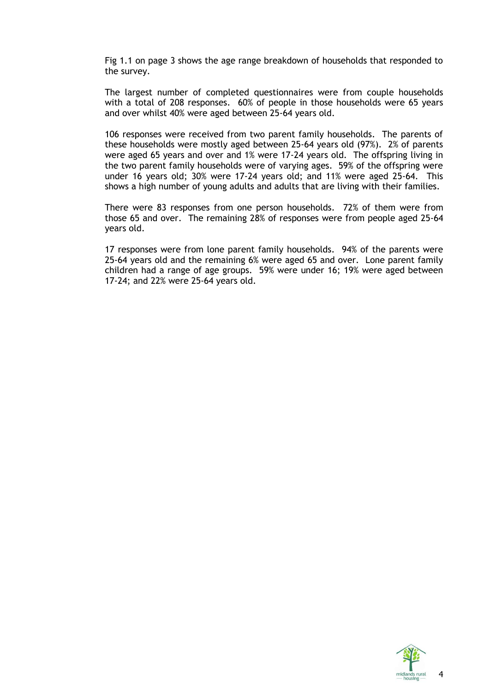Fig 1.1 on page 3 shows the age range breakdown of households that responded to the survey.

The largest number of completed questionnaires were from couple households with a total of 208 responses. 60% of people in those households were 65 years and over whilst 40% were aged between 25-64 years old.

106 responses were received from two parent family households. The parents of these households were mostly aged between 25-64 years old (97%). 2% of parents were aged 65 years and over and 1% were 17-24 years old. The offspring living in the two parent family households were of varying ages. 59% of the offspring were under 16 years old; 30% were 17-24 years old; and 11% were aged 25-64. This shows a high number of young adults and adults that are living with their families.

There were 83 responses from one person households. 72% of them were from those 65 and over. The remaining 28% of responses were from people aged 25-64 years old.

17 responses were from lone parent family households. 94% of the parents were 25-64 years old and the remaining 6% were aged 65 and over. Lone parent family children had a range of age groups. 59% were under 16; 19% were aged between 17-24; and 22% were 25-64 years old.

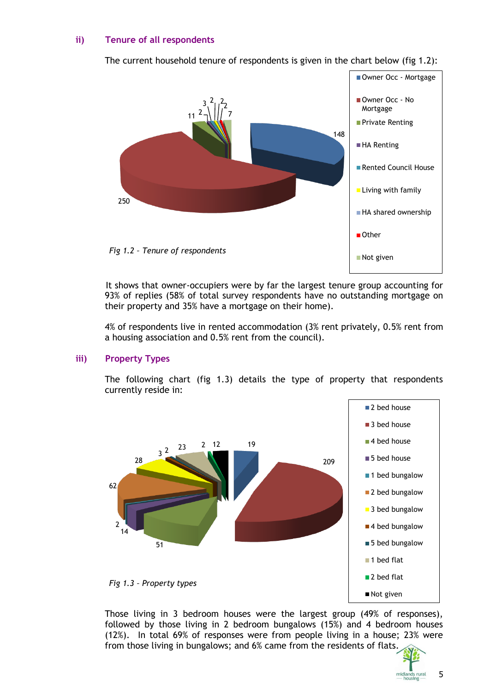#### **ii) Tenure of all respondents**

The current household tenure of respondents is given in the chart below (fig 1.2):



It shows that owner-occupiers were by far the largest tenure group accounting for 93% of replies (58% of total survey respondents have no outstanding mortgage on their property and 35% have a mortgage on their home).

4% of respondents live in rented accommodation (3% rent privately, 0.5% rent from a housing association and 0.5% rent from the council).

#### **iii) Property Types**

The following chart (fig 1.3) details the type of property that respondents currently reside in:



Those living in 3 bedroom houses were the largest group (49% of responses), followed by those living in 2 bedroom bungalows (15%) and 4 bedroom houses (12%). In total 69% of responses were from people living in a house; 23% were from those living in bungalows; and 6% came from the residents of flats.



5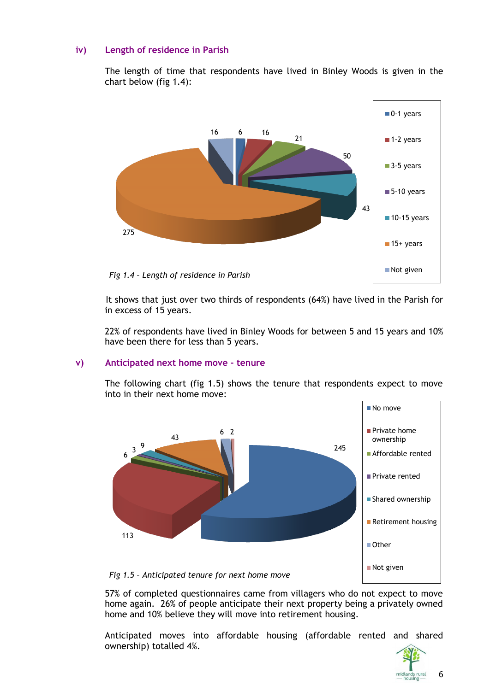#### **iv) Length of residence in Parish**

The length of time that respondents have lived in Binley Woods is given in the chart below (fig 1.4):



It shows that just over two thirds of respondents (64%) have lived in the Parish for in excess of 15 years.

22% of respondents have lived in Binley Woods for between 5 and 15 years and 10% have been there for less than 5 years.

#### **v) Anticipated next home move - tenure**

The following chart (fig 1.5) shows the tenure that respondents expect to move into in their next home move:



57% of completed questionnaires came from villagers who do not expect to move home again. 26% of people anticipate their next property being a privately owned home and 10% believe they will move into retirement housing.

Anticipated moves into affordable housing (affordable rented and shared ownership) totalled 4%.



6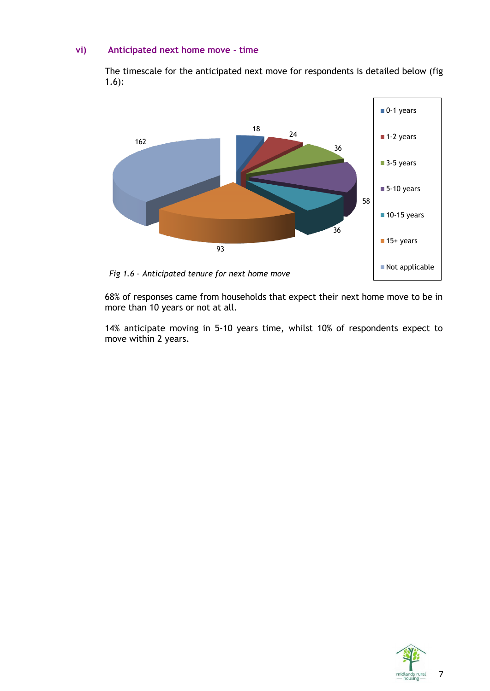#### **vi) Anticipated next home move - time**

The timescale for the anticipated next move for respondents is detailed below (fig 1.6):



68% of responses came from households that expect their next home move to be in more than 10 years or not at all.

14% anticipate moving in 5-10 years time, whilst 10% of respondents expect to move within 2 years.

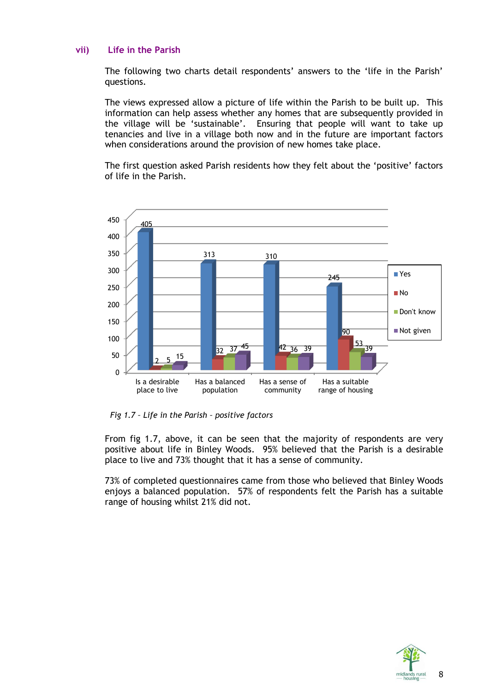#### **vii) Life in the Parish**

The following two charts detail respondents' answers to the 'life in the Parish' questions.

The views expressed allow a picture of life within the Parish to be built up. This information can help assess whether any homes that are subsequently provided in the village will be 'sustainable'. Ensuring that people will want to take up tenancies and live in a village both now and in the future are important factors when considerations around the provision of new homes take place.

The first question asked Parish residents how they felt about the 'positive' factors of life in the Parish.



*Fig 1.7 – Life in the Parish – positive factors*

From fig 1.7, above, it can be seen that the majority of respondents are very positive about life in Binley Woods. 95% believed that the Parish is a desirable place to live and 73% thought that it has a sense of community.

73% of completed questionnaires came from those who believed that Binley Woods enjoys a balanced population. 57% of respondents felt the Parish has a suitable range of housing whilst 21% did not.

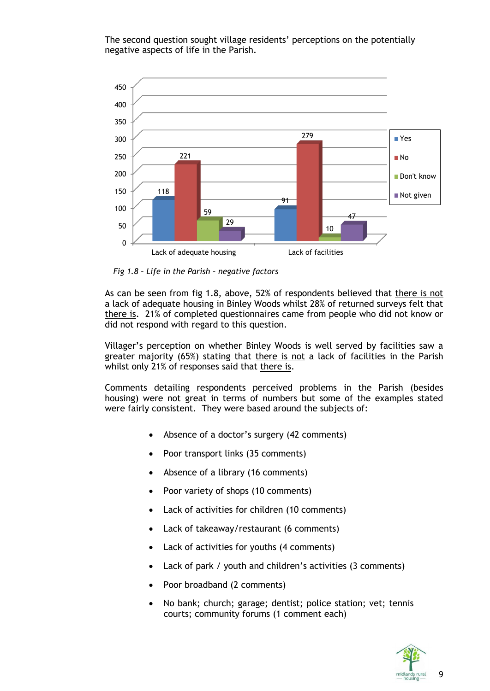The second question sought village residents' perceptions on the potentially negative aspects of life in the Parish.



*Fig 1.8 – Life in the Parish – negative factors*

As can be seen from fig 1.8, above, 52% of respondents believed that there is not a lack of adequate housing in Binley Woods whilst 28% of returned surveys felt that there is. 21% of completed questionnaires came from people who did not know or did not respond with regard to this question.

Villager's perception on whether Binley Woods is well served by facilities saw a greater majority (65%) stating that there is not a lack of facilities in the Parish whilst only 21% of responses said that there is.

Comments detailing respondents perceived problems in the Parish (besides housing) were not great in terms of numbers but some of the examples stated were fairly consistent. They were based around the subjects of:

- Absence of a doctor's surgery (42 comments)
- Poor transport links (35 comments)
- Absence of a library (16 comments)
- Poor variety of shops (10 comments)
- Lack of activities for children (10 comments)
- Lack of takeaway/restaurant (6 comments)
- Lack of activities for youths (4 comments)
- Lack of park / youth and children's activities (3 comments)
- Poor broadband (2 comments)
- No bank; church; garage; dentist; police station; vet; tennis courts; community forums (1 comment each)

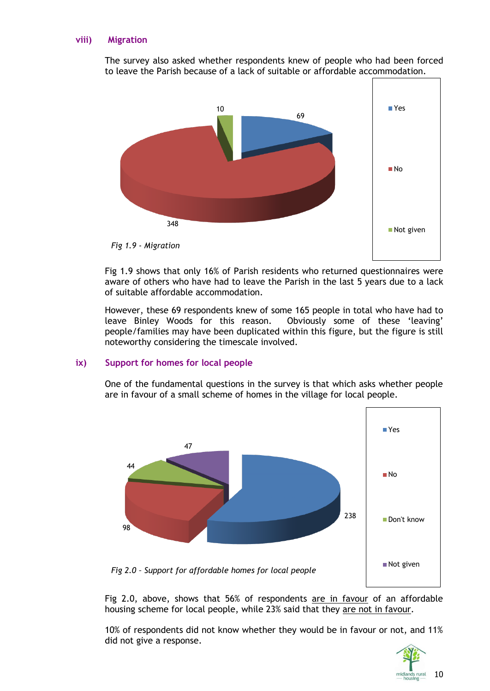#### **viii) Migration**

The survey also asked whether respondents knew of people who had been forced to leave the Parish because of a lack of suitable or affordable accommodation.



Fig 1.9 shows that only 16% of Parish residents who returned questionnaires were aware of others who have had to leave the Parish in the last 5 years due to a lack of suitable affordable accommodation.

However, these 69 respondents knew of some 165 people in total who have had to leave Binley Woods for this reason. Obviously some of these 'leaving' people/families may have been duplicated within this figure, but the figure is still noteworthy considering the timescale involved.

#### **ix) Support for homes for local people**

One of the fundamental questions in the survey is that which asks whether people are in favour of a small scheme of homes in the village for local people.



Fig 2.0, above, shows that 56% of respondents are in favour of an affordable housing scheme for local people, while 23% said that they are not in favour.

10% of respondents did not know whether they would be in favour or not, and 11% did not give a response.

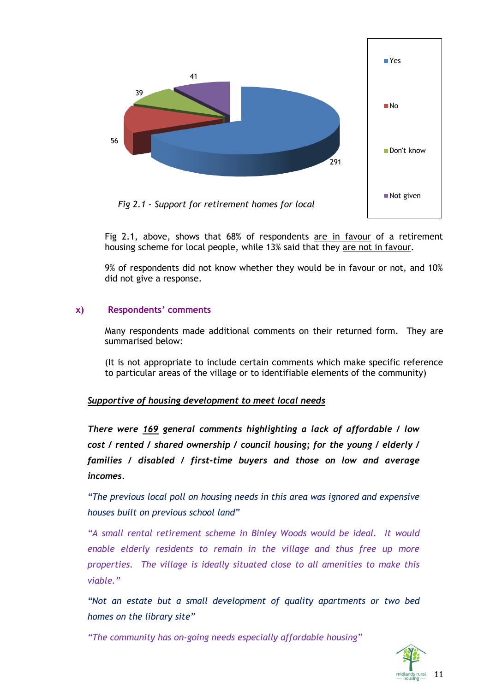

Fig 2.1, above, shows that 68% of respondents are in favour of a retirement housing scheme for local people, while 13% said that they are not in favour.

9% of respondents did not know whether they would be in favour or not, and 10% did not give a response.

#### **x) Respondents' comments**

Many respondents made additional comments on their returned form. They are summarised below:

(It is not appropriate to include certain comments which make specific reference to particular areas of the village or to identifiable elements of the community)

#### *Supportive of housing development to meet local needs*

*There were 169 general comments highlighting a lack of affordable / low cost / rented / shared ownership / council housing; for the young / elderly / families / disabled / first-time buyers and those on low and average incomes.*

*"The previous local poll on housing needs in this area was ignored and expensive houses built on previous school land"*

*"A small rental retirement scheme in Binley Woods would be ideal. It would enable elderly residents to remain in the village and thus free up more properties. The village is ideally situated close to all amenities to make this viable."*

*"Not an estate but a small development of quality apartments or two bed homes on the library site"*

*"The community has on-going needs especially affordable housing"*

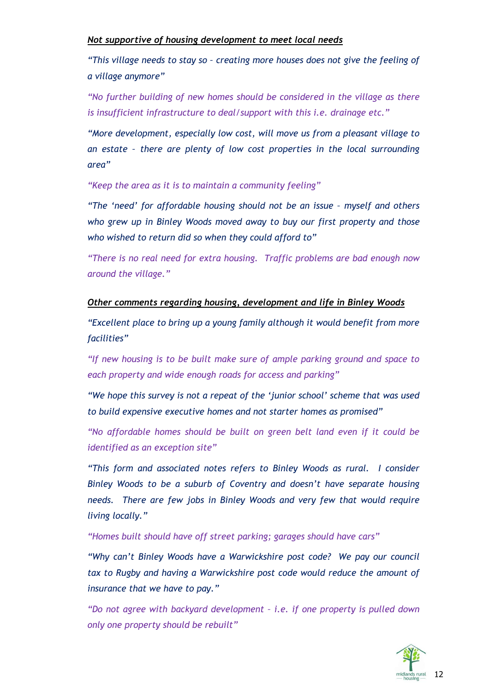#### *Not supportive of housing development to meet local needs*

*"This village needs to stay so – creating more houses does not give the feeling of a village anymore"*

*"No further building of new homes should be considered in the village as there is insufficient infrastructure to deal/support with this i.e. drainage etc."*

*"More development, especially low cost, will move us from a pleasant village to an estate – there are plenty of low cost properties in the local surrounding area"*

*"Keep the area as it is to maintain a community feeling"*

*"The 'need' for affordable housing should not be an issue – myself and others who grew up in Binley Woods moved away to buy our first property and those who wished to return did so when they could afford to"*

*"There is no real need for extra housing. Traffic problems are bad enough now around the village."*

#### *Other comments regarding housing, development and life in Binley Woods*

*"Excellent place to bring up a young family although it would benefit from more facilities"*

*"If new housing is to be built make sure of ample parking ground and space to each property and wide enough roads for access and parking"*

*"We hope this survey is not a repeat of the 'junior school' scheme that was used to build expensive executive homes and not starter homes as promised"*

*"No affordable homes should be built on green belt land even if it could be identified as an exception site"*

*"This form and associated notes refers to Binley Woods as rural. I consider Binley Woods to be a suburb of Coventry and doesn't have separate housing needs. There are few jobs in Binley Woods and very few that would require living locally."*

*"Homes built should have off street parking; garages should have cars"*

*"Why can't Binley Woods have a Warwickshire post code? We pay our council tax to Rugby and having a Warwickshire post code would reduce the amount of insurance that we have to pay."*

*"Do not agree with backyard development – i.e. if one property is pulled down only one property should be rebuilt"*

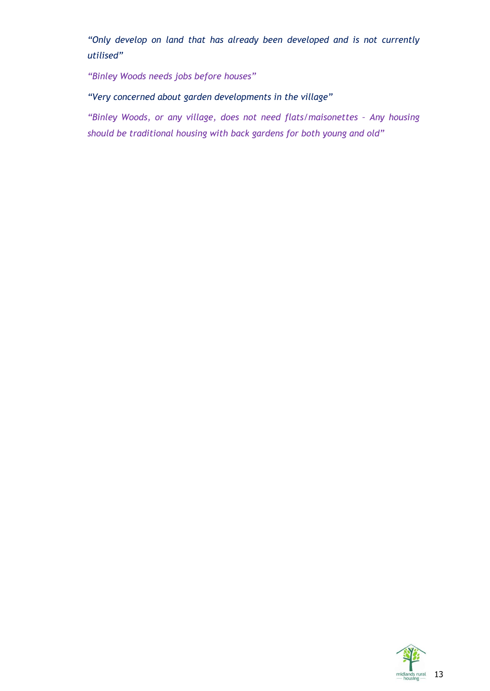*"Only develop on land that has already been developed and is not currently utilised"*

*"Binley Woods needs jobs before houses"*

*"Very concerned about garden developments in the village"*

*"Binley Woods, or any village, does not need flats/maisonettes – Any housing should be traditional housing with back gardens for both young and old"*

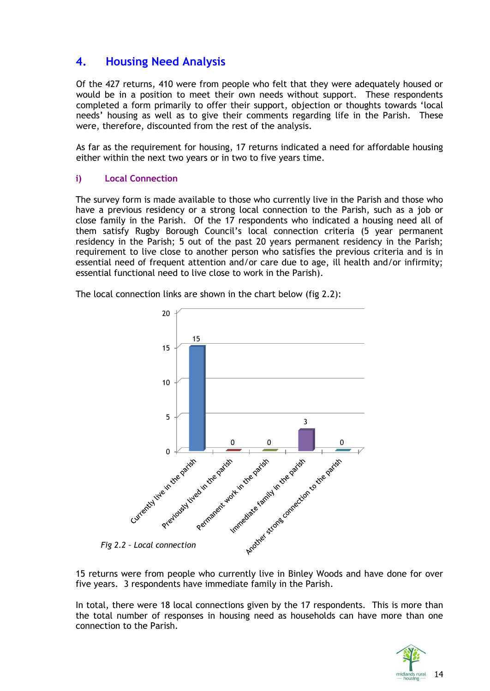# **4. Housing Need Analysis**

Of the 427 returns, 410 were from people who felt that they were adequately housed or would be in a position to meet their own needs without support. These respondents completed a form primarily to offer their support, objection or thoughts towards 'local needs' housing as well as to give their comments regarding life in the Parish. These were, therefore, discounted from the rest of the analysis.

As far as the requirement for housing, 17 returns indicated a need for affordable housing either within the next two years or in two to five years time.

#### **i) Local Connection**

The survey form is made available to those who currently live in the Parish and those who have a previous residency or a strong local connection to the Parish, such as a job or close family in the Parish. Of the 17 respondents who indicated a housing need all of them satisfy Rugby Borough Council's local connection criteria (5 year permanent residency in the Parish; 5 out of the past 20 years permanent residency in the Parish; requirement to live close to another person who satisfies the previous criteria and is in essential need of frequent attention and/or care due to age, ill health and/or infirmity; essential functional need to live close to work in the Parish).

The local connection links are shown in the chart below (fig 2.2):



15 returns were from people who currently live in Binley Woods and have done for over five years. 3 respondents have immediate family in the Parish.

In total, there were 18 local connections given by the 17 respondents. This is more than the total number of responses in housing need as households can have more than one connection to the Parish.

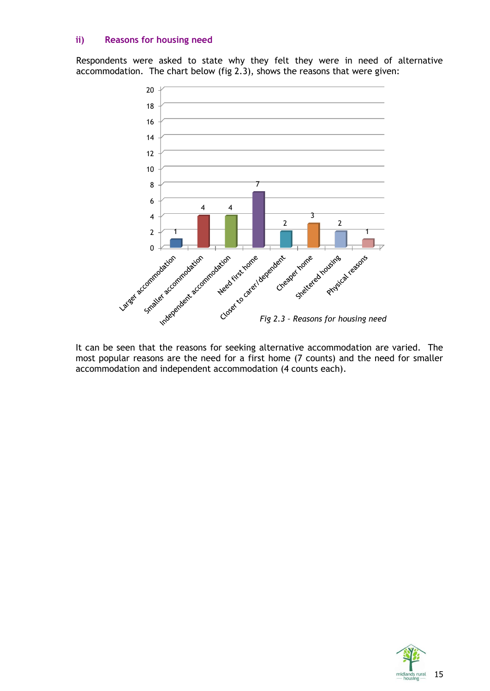#### **ii) Reasons for housing need**

Respondents were asked to state why they felt they were in need of alternative accommodation. The chart below (fig 2.3), shows the reasons that were given:



It can be seen that the reasons for seeking alternative accommodation are varied. The most popular reasons are the need for a first home (7 counts) and the need for smaller accommodation and independent accommodation (4 counts each).

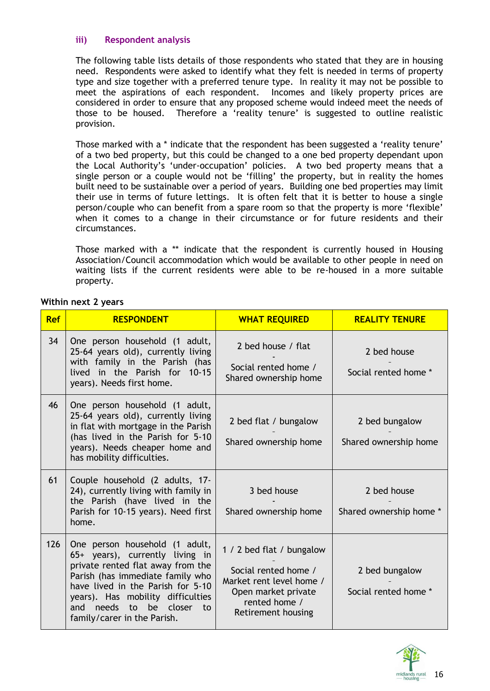#### **iii) Respondent analysis**

The following table lists details of those respondents who stated that they are in housing need. Respondents were asked to identify what they felt is needed in terms of property type and size together with a preferred tenure type. In reality it may not be possible to meet the aspirations of each respondent. Incomes and likely property prices are considered in order to ensure that any proposed scheme would indeed meet the needs of those to be housed. Therefore a 'reality tenure' is suggested to outline realistic provision.

Those marked with a \* indicate that the respondent has been suggested a 'reality tenure' of a two bed property, but this could be changed to a one bed property dependant upon the Local Authority's 'under-occupation' policies. A two bed property means that a single person or a couple would not be 'filling' the property, but in reality the homes built need to be sustainable over a period of years. Building one bed properties may limit their use in terms of future lettings. It is often felt that it is better to house a single person/couple who can benefit from a spare room so that the property is more 'flexible' when it comes to a change in their circumstance or for future residents and their circumstances.

Those marked with a \*\* indicate that the respondent is currently housed in Housing Association/Council accommodation which would be available to other people in need on waiting lists if the current residents were able to be re-housed in a more suitable property.

| Within next 2 years |  |
|---------------------|--|
|---------------------|--|

| <b>Ref</b> | <b>RESPONDENT</b>                                                                                                                                                                                                                                                                      | <b>WHAT REQUIRED</b>                                                                                                                        | <b>REALITY TENURE</b>                   |
|------------|----------------------------------------------------------------------------------------------------------------------------------------------------------------------------------------------------------------------------------------------------------------------------------------|---------------------------------------------------------------------------------------------------------------------------------------------|-----------------------------------------|
| 34         | One person household (1 adult,<br>25-64 years old), currently living<br>with family in the Parish (has<br>lived in the Parish for 10-15<br>years). Needs first home.                                                                                                                   | 2 bed house / flat<br>Social rented home /<br>Shared ownership home                                                                         | 2 bed house<br>Social rented home *     |
| 46         | One person household (1 adult,<br>25-64 years old), currently living<br>in flat with mortgage in the Parish<br>(has lived in the Parish for 5-10<br>years). Needs cheaper home and<br>has mobility difficulties.                                                                       | 2 bed flat / bungalow<br>Shared ownership home                                                                                              | 2 bed bungalow<br>Shared ownership home |
| 61         | Couple household (2 adults, 17-<br>24), currently living with family in<br>the Parish (have lived in the<br>Parish for 10-15 years). Need first<br>home.                                                                                                                               | 3 bed house<br>Shared ownership home                                                                                                        | 2 bed house<br>Shared ownership home *  |
| 126        | One person household (1 adult,<br>65+ years), currently living in<br>private rented flat away from the<br>Parish (has immediate family who<br>have lived in the Parish for 5-10<br>years). Has mobility difficulties<br>and needs<br>to be closer<br>to<br>family/carer in the Parish. | 1 / 2 bed flat / bungalow<br>Social rented home /<br>Market rent level home /<br>Open market private<br>rented home /<br>Retirement housing | 2 bed bungalow<br>Social rented home *  |

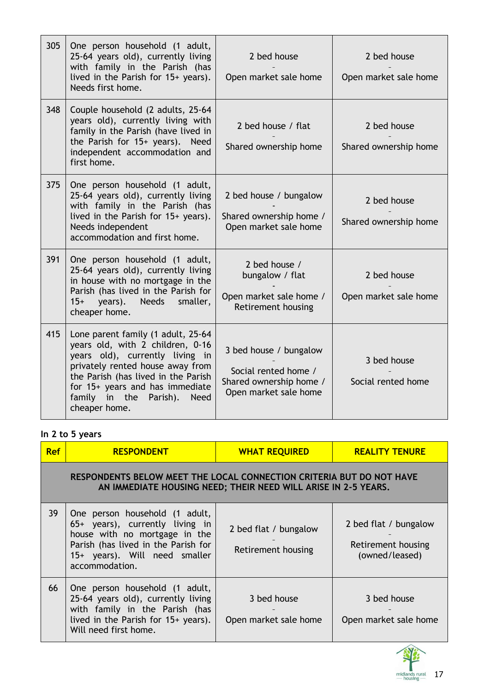| 305 | One person household (1 adult,<br>25-64 years old), currently living<br>with family in the Parish (has<br>lived in the Parish for 15+ years).<br>Needs first home.                                                                                                                | 2 bed house<br>Open market sale home                                                               | 2 bed house<br>Open market sale home |
|-----|-----------------------------------------------------------------------------------------------------------------------------------------------------------------------------------------------------------------------------------------------------------------------------------|----------------------------------------------------------------------------------------------------|--------------------------------------|
| 348 | Couple household (2 adults, 25-64<br>years old), currently living with<br>family in the Parish (have lived in<br>the Parish for 15+ years). Need<br>independent accommodation and<br>first home.                                                                                  | 2 bed house / flat<br>Shared ownership home                                                        | 2 bed house<br>Shared ownership home |
| 375 | One person household (1 adult,<br>25-64 years old), currently living<br>with family in the Parish (has<br>lived in the Parish for 15+ years).<br>Needs independent<br>accommodation and first home.                                                                               | 2 bed house / bungalow<br>Shared ownership home /<br>Open market sale home                         | 2 bed house<br>Shared ownership home |
| 391 | One person household (1 adult,<br>25-64 years old), currently living<br>in house with no mortgage in the<br>Parish (has lived in the Parish for<br>years).<br>Needs<br>$15+$<br>smaller,<br>cheaper home.                                                                         | 2 bed house /<br>bungalow / flat<br>Open market sale home /<br>Retirement housing                  | 2 bed house<br>Open market sale home |
| 415 | Lone parent family (1 adult, 25-64<br>years old, with 2 children, 0-16<br>years old), currently living in<br>privately rented house away from<br>the Parish (has lived in the Parish<br>for 15+ years and has immediate<br>family in the Parish).<br><b>Need</b><br>cheaper home. | 3 bed house / bungalow<br>Social rented home /<br>Shared ownership home /<br>Open market sale home | 3 bed house<br>Social rented home    |

# **In 2 to 5 years**

| <b>Ref</b> | <b>RESPONDENT</b>                                                                                                                                                                            | <b>WHAT REQUIRED</b>                        | <b>REALITY TENURE</b>                                         |  |  |
|------------|----------------------------------------------------------------------------------------------------------------------------------------------------------------------------------------------|---------------------------------------------|---------------------------------------------------------------|--|--|
|            | RESPONDENTS BELOW MEET THE LOCAL CONNECTION CRITERIA BUT DO NOT HAVE<br>AN IMMEDIATE HOUSING NEED; THEIR NEED WILL ARISE IN 2-5 YEARS.                                                       |                                             |                                                               |  |  |
| 39         | One person household (1 adult,<br>65+ years), currently living in<br>house with no mortgage in the<br>Parish (has lived in the Parish for<br>15+ years). Will need smaller<br>accommodation. | 2 bed flat / bungalow<br>Retirement housing | 2 bed flat / bungalow<br>Retirement housing<br>(owned/leased) |  |  |
| 66         | One person household (1 adult,<br>25-64 years old), currently living<br>with family in the Parish (has<br>lived in the Parish for 15+ years).<br>Will need first home.                       | 3 bed house<br>Open market sale home        | 3 bed house<br>Open market sale home                          |  |  |

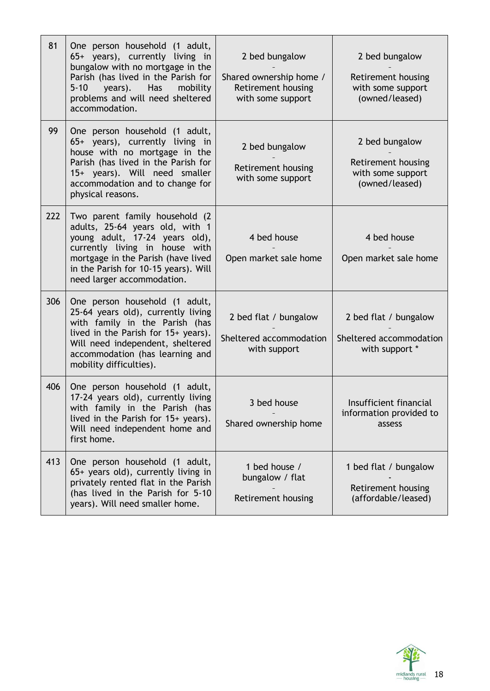| 81  | One person household (1 adult,<br>65+ years), currently living in<br>bungalow with no mortgage in the<br>Parish (has lived in the Parish for<br>$5 - 10$<br>Has<br>years).<br>mobility<br>problems and will need sheltered<br>accommodation.       | 2 bed bungalow<br>Shared ownership home /<br>Retirement housing<br>with some support | 2 bed bungalow<br>Retirement housing<br>with some support<br>(owned/leased) |
|-----|----------------------------------------------------------------------------------------------------------------------------------------------------------------------------------------------------------------------------------------------------|--------------------------------------------------------------------------------------|-----------------------------------------------------------------------------|
| 99  | One person household (1 adult,<br>65+ years), currently living in<br>house with no mortgage in the<br>Parish (has lived in the Parish for<br>15+ years). Will need smaller<br>accommodation and to change for<br>physical reasons.                 | 2 bed bungalow<br>Retirement housing<br>with some support                            | 2 bed bungalow<br>Retirement housing<br>with some support<br>(owned/leased) |
| 222 | Two parent family household (2)<br>adults, 25-64 years old, with 1<br>young adult, 17-24 years old),<br>currently living in house with<br>mortgage in the Parish (have lived<br>in the Parish for 10-15 years). Will<br>need larger accommodation. | 4 bed house<br>Open market sale home                                                 | 4 bed house<br>Open market sale home                                        |
| 306 | One person household (1 adult,<br>25-64 years old), currently living<br>with family in the Parish (has<br>lived in the Parish for 15+ years).<br>Will need independent, sheltered<br>accommodation (has learning and<br>mobility difficulties).    | 2 bed flat / bungalow<br>Sheltered accommodation<br>with support                     | 2 bed flat / bungalow<br>Sheltered accommodation<br>with support *          |
| 406 | One person household (1 adult,<br>17-24 years old), currently living<br>with family in the Parish (has<br>lived in the Parish for 15+ years).<br>Will need independent home and<br>first home.                                                     | 3 bed house<br>Shared ownership home                                                 | Insufficient financial<br>information provided to<br>assess                 |
| 413 | One person household (1 adult,<br>65+ years old), currently living in<br>privately rented flat in the Parish<br>(has lived in the Parish for 5-10<br>years). Will need smaller home.                                                               | 1 bed house /<br>bungalow / flat<br>Retirement housing                               | 1 bed flat / bungalow<br>Retirement housing<br>(affordable/leased)          |

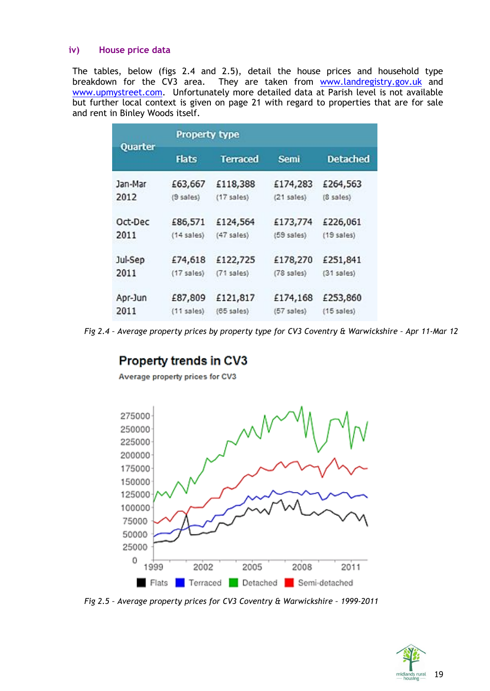#### **iv) House price data**

The tables, below (figs 2.4 and 2.5), detail the house prices and household type breakdown for the CV3 area. They are taken from [www.landregistry.gov.uk](http://www.landregistry.gov.uk/) and [www.upmystreet.com.](http://www.upmystreet.com/) Unfortunately more detailed data at Parish level is not available but further local context is given on page 21 with regard to properties that are for sale and rent in Binley Woods itself.

|         | <b>Property type</b> |                 |                 |                 |  |
|---------|----------------------|-----------------|-----------------|-----------------|--|
| Quarter | <b>Flats</b>         | <b>Terraced</b> | <b>Semi</b>     | <b>Detached</b> |  |
| Jan-Mar | £63,667              | £118,388        | £174,283        | £264,563        |  |
| 2012    | $(9$ sales)          | (17 sales)      | $(21$ sales)    | (8 sales)       |  |
| Oct-Dec | £86,571              | £124,564        | £173,774        | £226,061        |  |
| 2011    | $(14$ sales)         | $(47$ sales)    | $(59$ sales).   | (19 sales)      |  |
| Jul-Sep | £74,618              | £122,725        | £178,270        | £251,841        |  |
| 2011    | (17 sales)           | $(71$ sales)    | $(78$ sales $)$ | $(31$ sales)    |  |
| Apr-Jun | £87,809              | £121,817        | £174,168        | £253,860        |  |
| 2011    | $(11$ sales)         | $(65$ sales)    | $(57$ sales)    | $(15$ sales)    |  |

*Fig 2.4 – Average property prices by property type for CV3 Coventry & Warwickshire – Apr 11-Mar 12*

# Property trends in CV3

Average property prices for CV3



*Fig 2.5 – Average property prices for CV3 Coventry & Warwickshire – 1999-2011*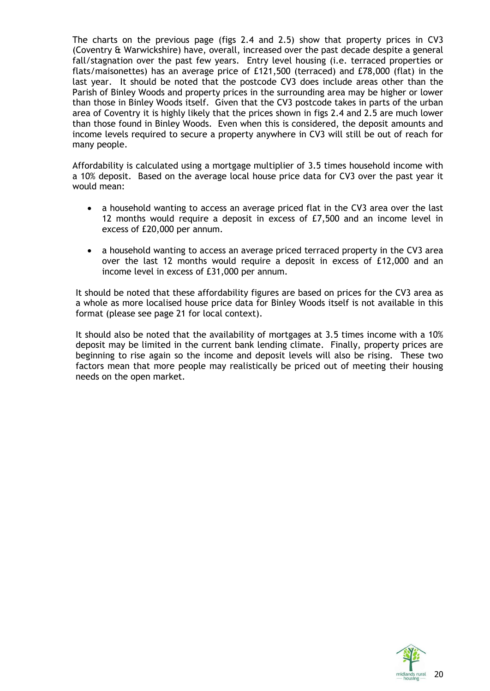The charts on the previous page (figs 2.4 and 2.5) show that property prices in CV3 (Coventry & Warwickshire) have, overall, increased over the past decade despite a general fall/stagnation over the past few years. Entry level housing (i.e. terraced properties or flats/maisonettes) has an average price of £121,500 (terraced) and £78,000 (flat) in the last year. It should be noted that the postcode CV3 does include areas other than the Parish of Binley Woods and property prices in the surrounding area may be higher or lower than those in Binley Woods itself. Given that the CV3 postcode takes in parts of the urban area of Coventry it is highly likely that the prices shown in figs 2.4 and 2.5 are much lower than those found in Binley Woods. Even when this is considered, the deposit amounts and income levels required to secure a property anywhere in CV3 will still be out of reach for many people.

Affordability is calculated using a mortgage multiplier of 3.5 times household income with a 10% deposit. Based on the average local house price data for CV3 over the past year it would mean:

- a household wanting to access an average priced flat in the CV3 area over the last 12 months would require a deposit in excess of £7,500 and an income level in excess of £20,000 per annum.
- a household wanting to access an average priced terraced property in the CV3 area over the last 12 months would require a deposit in excess of £12,000 and an income level in excess of £31,000 per annum.

It should be noted that these affordability figures are based on prices for the CV3 area as a whole as more localised house price data for Binley Woods itself is not available in this format (please see page 21 for local context).

It should also be noted that the availability of mortgages at 3.5 times income with a 10% deposit may be limited in the current bank lending climate. Finally, property prices are beginning to rise again so the income and deposit levels will also be rising. These two factors mean that more people may realistically be priced out of meeting their housing needs on the open market.

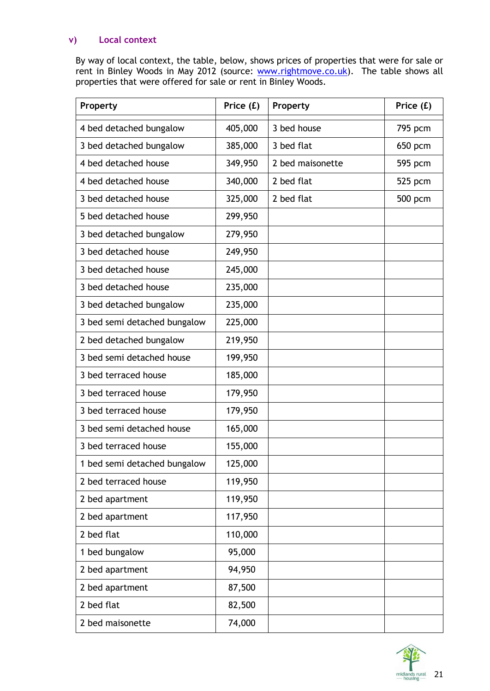#### **v) Local context**

By way of local context, the table, below, shows prices of properties that were for sale or rent in Binley Woods in May 2012 (source: [www.rightmove.co.uk\)](http://www.rightmove.co.uk/). The table shows all properties that were offered for sale or rent in Binley Woods.

| Property                     | Price (£) | Property         | Price (£) |
|------------------------------|-----------|------------------|-----------|
| 4 bed detached bungalow      | 405,000   | 3 bed house      | 795 pcm   |
| 3 bed detached bungalow      | 385,000   | 3 bed flat       | 650 pcm   |
| 4 bed detached house         | 349,950   | 2 bed maisonette | 595 pcm   |
| 4 bed detached house         | 340,000   | 2 bed flat       | 525 pcm   |
| 3 bed detached house         | 325,000   | 2 bed flat       | 500 pcm   |
| 5 bed detached house         | 299,950   |                  |           |
| 3 bed detached bungalow      | 279,950   |                  |           |
| 3 bed detached house         | 249,950   |                  |           |
| 3 bed detached house         | 245,000   |                  |           |
| 3 bed detached house         | 235,000   |                  |           |
| 3 bed detached bungalow      | 235,000   |                  |           |
| 3 bed semi detached bungalow | 225,000   |                  |           |
| 2 bed detached bungalow      | 219,950   |                  |           |
| 3 bed semi detached house    | 199,950   |                  |           |
| 3 bed terraced house         | 185,000   |                  |           |
| 3 bed terraced house         | 179,950   |                  |           |
| 3 bed terraced house         | 179,950   |                  |           |
| 3 bed semi detached house    | 165,000   |                  |           |
| 3 bed terraced house         | 155,000   |                  |           |
| 1 bed semi detached bungalow | 125,000   |                  |           |
| 2 bed terraced house         | 119,950   |                  |           |
| 2 bed apartment              | 119,950   |                  |           |
| 2 bed apartment              | 117,950   |                  |           |
| 2 bed flat                   | 110,000   |                  |           |
| 1 bed bungalow               | 95,000    |                  |           |
| 2 bed apartment              | 94,950    |                  |           |
| 2 bed apartment              | 87,500    |                  |           |
| 2 bed flat                   | 82,500    |                  |           |
| 2 bed maisonette             | 74,000    |                  |           |

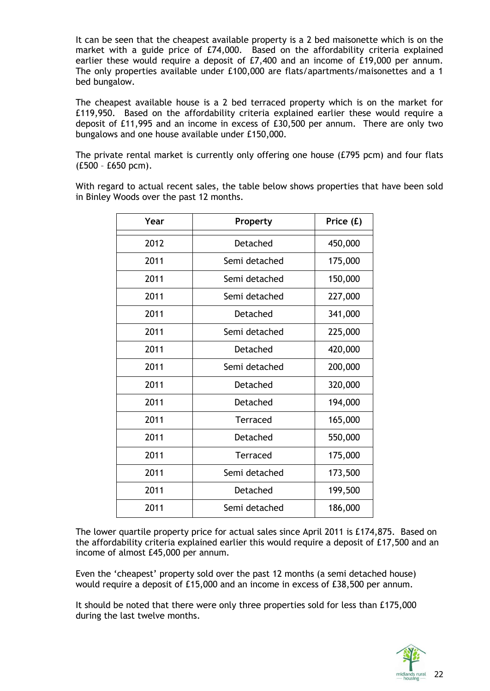It can be seen that the cheapest available property is a 2 bed maisonette which is on the market with a guide price of £74,000. Based on the affordability criteria explained earlier these would require a deposit of £7,400 and an income of £19,000 per annum. The only properties available under £100,000 are flats/apartments/maisonettes and a 1 bed bungalow.

The cheapest available house is a 2 bed terraced property which is on the market for £119,950. Based on the affordability criteria explained earlier these would require a deposit of £11,995 and an income in excess of £30,500 per annum. There are only two bungalows and one house available under £150,000.

The private rental market is currently only offering one house (£795 pcm) and four flats (£500 – £650 pcm).

With regard to actual recent sales, the table below shows properties that have been sold in Binley Woods over the past 12 months.

| Year | Property        | Price (£) |
|------|-----------------|-----------|
| 2012 | Detached        | 450,000   |
| 2011 | Semi detached   | 175,000   |
| 2011 | Semi detached   | 150,000   |
| 2011 | Semi detached   | 227,000   |
| 2011 | Detached        | 341,000   |
| 2011 | Semi detached   | 225,000   |
| 2011 | Detached        | 420,000   |
| 2011 | Semi detached   | 200,000   |
| 2011 | Detached        | 320,000   |
| 2011 | Detached        | 194,000   |
| 2011 | <b>Terraced</b> | 165,000   |
| 2011 | Detached        | 550,000   |
| 2011 | Terraced        | 175,000   |
| 2011 | Semi detached   | 173,500   |
| 2011 | Detached        | 199,500   |
| 2011 | Semi detached   | 186,000   |

The lower quartile property price for actual sales since April 2011 is £174,875. Based on the affordability criteria explained earlier this would require a deposit of £17,500 and an income of almost £45,000 per annum.

Even the 'cheapest' property sold over the past 12 months (a semi detached house) would require a deposit of £15,000 and an income in excess of £38,500 per annum.

It should be noted that there were only three properties sold for less than £175,000 during the last twelve months.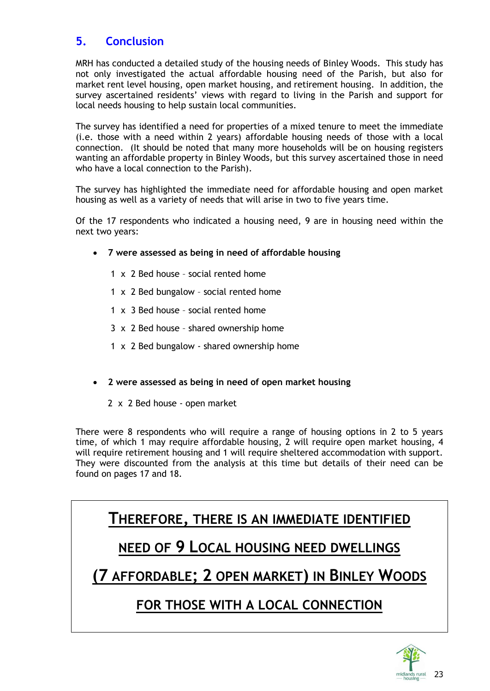# **5. Conclusion**

MRH has conducted a detailed study of the housing needs of Binley Woods. This study has not only investigated the actual affordable housing need of the Parish, but also for market rent level housing, open market housing, and retirement housing. In addition, the survey ascertained residents' views with regard to living in the Parish and support for local needs housing to help sustain local communities.

The survey has identified a need for properties of a mixed tenure to meet the immediate (i.e. those with a need within 2 years) affordable housing needs of those with a local connection. (It should be noted that many more households will be on housing registers wanting an affordable property in Binley Woods, but this survey ascertained those in need who have a local connection to the Parish).

The survey has highlighted the immediate need for affordable housing and open market housing as well as a variety of needs that will arise in two to five years time.

Of the 17 respondents who indicated a housing need, 9 are in housing need within the next two years:

- **7 were assessed as being in need of affordable housing**
	- 1 x 2 Bed house social rented home
	- 1 x 2 Bed bungalow social rented home
	- 1 x 3 Bed house social rented home
	- 3 x 2 Bed house shared ownership home
	- 1 x 2 Bed bungalow shared ownership home
- **2 were assessed as being in need of open market housing**
	- 2 x 2 Bed house open market

There were 8 respondents who will require a range of housing options in 2 to 5 years time, of which 1 may require affordable housing, 2 will require open market housing, 4 will require retirement housing and 1 will require sheltered accommodation with support. They were discounted from the analysis at this time but details of their need can be found on pages 17 and 18.

**THEREFORE, THERE IS AN IMMEDIATE IDENTIFIED**

# **NEED OF 9 LOCAL HOUSING NEED DWELLINGS**

**(7 AFFORDABLE; 2 OPEN MARKET) IN BINLEY WOODS**

# **FOR THOSE WITH A LOCAL CONNECTION**